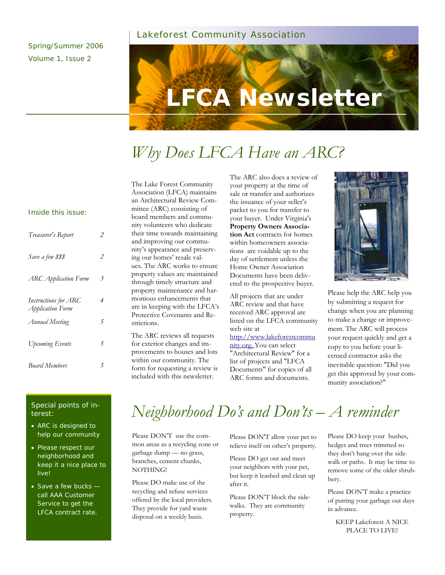### Lakeforest Community Association

Spring/Summer 2006 Volume 1, Issue 2



# *Why Does LFCA Have an ARC?*

#### Inside this issue:

| Treasurer's Report                                     | 2 |
|--------------------------------------------------------|---|
| Save a few \$\$\$                                      | 2 |
| <b>ARC</b> Application Form                            | 3 |
| Instructions for ARC<br><i><b>Application Form</b></i> | 4 |
| <b>Annual Meeting</b>                                  | 5 |
| Upcoming Events                                        | 5 |
| <b>Board Members</b>                                   | 5 |

#### The Lake Forest Community Association (LFCA) maintains an Architectural Review Committee (ARC) consisting of board members and community volunteers who dedicate their time towards maintaining and improving our community's appearance and preserving our homes' resale values. The ARC works to ensure property values are maintained through timely structure and property maintenance and harmonious enhancements that are in keeping with the LFCA's Protective Covenants and Restrictions.

The ARC reviews all requests for exterior changes and improvements to houses and lots within our community. The form for requesting a review is included with this newsletter.

The ARC also does a review of your property at the time of sale or transfer and authorizes the issuance of your seller's packet to you for transfer to your buyer. Under Virginia's **Property Owners Association Act** contracts for homes within homeowners associations are voidable up to the day of settlement unless the Home Owner Association Documents have been delivered to the prospective buyer.

All projects that are under ARC review and that have received ARC approval are listed on the LFCA community web site at

http://www.lakeforestcommu nity.org. You can select "Architectural Review" for a list of projects and "LFCA Documents" for copies of all ARC forms and documents.



Please help the ARC help you by submitting a request for change when you are planning to make a change or improvement. The ARC will process your request quickly and get a copy to you before your licensed contractor asks the inevitable question: "Did you get this approved by your community association?"

#### Special points of interest:

- ARC is designed to help our community
- Please respect our neighborhood and keep it a nice place to live!
- Save a few bucks call AAA Customer Service to get the LFCA contract rate.

# *Neighborhood Do's and Don'ts – A reminder*

Please DON'T use the common areas as a recycling zone or garbage dump — no grass, branches, cement chunks, NOTHING!

Please DO make use of the recycling and refuse services offered by the local providers. They provide for yard waste disposal on a weekly basis.

Please DON'T allow your pet to relieve itself on other's property.

Please DO get out and meet your neighbors with your pet, but keep it leashed and clean up after it.

Please DON'T block the sidewalks. They are community property.

Please DO keep your bushes, hedges and trees trimmed so they don't hang over the sidewalk or paths. It may be time to remove some of the older shrubbery.

Please DON'T make a practice of putting your garbage out days in advance.

KEEP Lakeforest A NICE PLACE TO LIVE!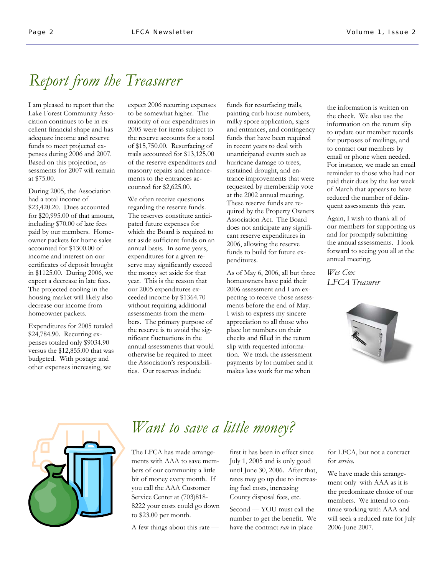# *Report from the Treasurer*

I am pleased to report that the Lake Forest Community Association continues to be in excellent financial shape and has adequate income and reserve funds to meet projected expenses during 2006 and 2007. Based on this projection, assessments for 2007 will remain at \$75.00.

During 2005, the Association had a total income of \$23,420.20. Dues accounted for \$20,995.00 of that amount, including \$70.00 of late fees paid by our members. Homeowner packets for home sales accounted for \$1300.00 of income and interest on our certificates of deposit brought in \$1125.00. During 2006, we expect a decrease in late fees. The projected cooling in the housing market will likely also decrease our income from homeowner packets.

Expenditures for 2005 totaled \$24,784.90. Recurring expenses totaled only \$9034.90 versus the \$12,855.00 that was budgeted. With postage and other expenses increasing, we

expect 2006 recurring expenses to be somewhat higher. The majority of our expenditures in 2005 were for items subject to the reserve accounts for a total of \$15,750.00. Resurfacing of trails accounted for \$13,125.00 of the reserve expenditures and masonry repairs and enhancements to the entrances accounted for \$2,625.00.

We often receive questions regarding the reserve funds. The reserves constitute anticipated future expenses for which the Board is required to set aside sufficient funds on an annual basis. In some years, expenditures for a given reserve may significantly exceed the money set aside for that year. This is the reason that our 2005 expenditures exceeded income by \$1364.70 without requiring additional assessments from the members. The primary purpose of the reserve is to avoid the significant fluctuations in the annual assessments that would otherwise be required to meet the Association's responsibilities. Our reserves include

funds for resurfacing trails, painting curb house numbers, milky spore application, signs and entrances, and contingency funds that have been required in recent years to deal with unanticipated events such as hurricane damage to trees, sustained drought, and entrance improvements that were requested by membership vote at the 2002 annual meeting. These reserve funds are required by the Property Owners Association Act. The Board does not anticipate any significant reserve expenditures in 2006, allowing the reserve funds to build for future expenditures.

As of May 6, 2006, all but three homeowners have paid their 2006 assessment and I am expecting to receive those assessments before the end of May. I wish to express my sincere appreciation to all those who place lot numbers on their checks and filled in the return slip with requested information. We track the assessment payments by lot number and it makes less work for me when

the information is written on the check. We also use the information on the return slip to update our member records for purposes of mailings, and to contact our members by email or phone when needed. For instance, we made an email reminder to those who had not paid their dues by the last week of March that appears to have reduced the number of delinquent assessments this year.

Again, I wish to thank all of our members for supporting us and for promptly submitting the annual assessments. I look forward to seeing you all at the annual meeting.

*Wes Cox LFCA Treasurer* 





### *Want to save a little money?*

The LFCA has made arrangements with AAA to save members of our community a little bit of money every month. If you call the AAA Customer Service Center at (703)818- 8222 your costs could go down to \$23.00 per month.

A few things about this rate —

first it has been in effect since July 1, 2005 and is only good until June 30, 2006. After that, rates may go up due to increasing fuel costs, increasing County disposal fees, etc.

Second — YOU must call the number to get the benefit. We have the contract *rate* in place

for LFCA, but not a contract for *service*.

We have made this arrangement only with AAA as it is the predominate choice of our members. We intend to continue working with AAA and will seek a reduced rate for July 2006-June 2007.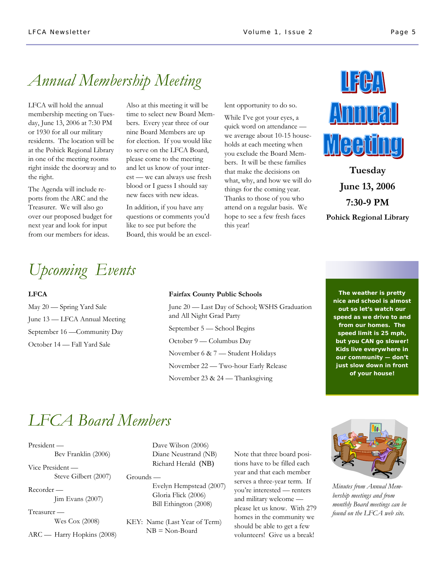### *Annual Membership Meeting*

**"To catch the reader's attention, place an interesting**  right inside the doorway and to LFCA will hold the annual membership meeting on Tuesday, June 13, 2006 at 7:30 PM or 1930 for all our military residents. The location will be at the Pohick Regional Library in one of the meeting rooms the right.

The Agenda will include reports from the ARC and the Treasurer. We will also go over our proposed budget for next year and look for input from our members for ideas.

Also at this meeting it will be time to select new Board Members. Every year three of our nine Board Members are up for election. If you would like to serve on the LFCA Board, please come to the meeting and let us know of your interest — we can always use fresh blood or I guess I should say new faces with new ideas.

In addition, if you have any questions or comments you'd like to see put before the Board, this would be an excellent opportunity to do so.

While I've got your eyes, a quick word on attendance we average about 10-15 households at each meeting when you exclude the Board Members. It will be these families that make the decisions on what, why, and how we will do things for the coming year. Thanks to those of you who attend on a regular basis. We hope to see a few fresh faces this year!



**Tuesday June 13, 2006 7:30-9 PM Pohick Regional Library** 

## *Upcoming Events*

### **LFCA**

May 20 — Spring Yard Sale June 13 — LFCA Annual Meeting September 16 —Community Day October 14 — Fall Yard Sale

#### **Fairfax County Public Schools**

June 20 — Last Day of School; WSHS Graduation and All Night Grad Party September 5 — School Begins October 9 — Columbus Day November 6 & 7 — Student Holidays November 22 — Two-hour Early Release November 23 & 24 — Thanksgiving

**The weather is pretty nice and school is almost out so let's watch our speed as we drive to and from our homes. The speed limit is 25 mph, but you CAN go slower! Kids live everywhere in our community — don't just slow down in front of your house!** 

## *LFCA Board Members*

President — Bev Franklin (2006)

Vice President — Steve Gilbert (2007)

Recorder — Jim Evans (2007)

Treasurer — Wes Cox (2008)

ARC — Harry Hopkins (2008)

 Dave Wilson (2006) Diane Neustrand (NB) Richard Herald (NB)

Grounds — Evelyn Hempstead (2007) Gloria Flick (2006) Bill Ethington (2008)

KEY: Name (Last Year of Term) NB = Non-Board

Note that three board positions have to be filled each year and that each member serves a three-year term. If you're interested — renters and military welcome please let us know. With 279 homes in the community we should be able to get a few volunteers! Give us a break!



*Minutes from Annual Membership meetings and from monthly Board meetings can be found on the LFCA web site.*